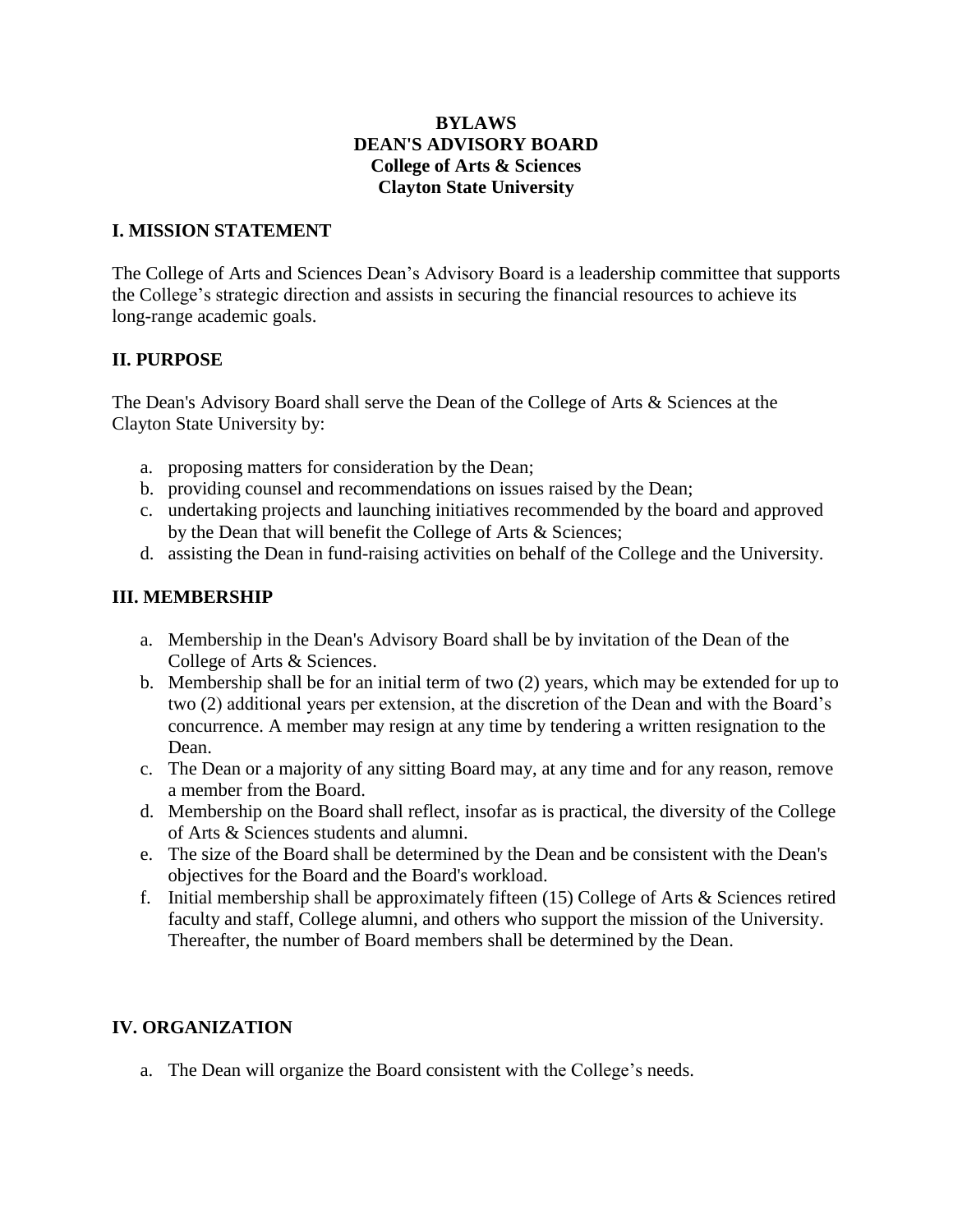## **BYLAWS DEAN'S ADVISORY BOARD College of Arts & Sciences Clayton State University**

### **I. MISSION STATEMENT**

The College of Arts and Sciences Dean's Advisory Board is a leadership committee that supports the College's strategic direction and assists in securing the financial resources to achieve its long-range academic goals.

## **II. PURPOSE**

The Dean's Advisory Board shall serve the Dean of the College of Arts & Sciences at the Clayton State University by:

- a. proposing matters for consideration by the Dean;
- b. providing counsel and recommendations on issues raised by the Dean;
- c. undertaking projects and launching initiatives recommended by the board and approved by the Dean that will benefit the College of Arts & Sciences;
- d. assisting the Dean in fund-raising activities on behalf of the College and the University.

#### **III. MEMBERSHIP**

- a. Membership in the Dean's Advisory Board shall be by invitation of the Dean of the College of Arts & Sciences.
- b. Membership shall be for an initial term of two (2) years, which may be extended for up to two (2) additional years per extension, at the discretion of the Dean and with the Board's concurrence. A member may resign at any time by tendering a written resignation to the Dean.
- c. The Dean or a majority of any sitting Board may, at any time and for any reason, remove a member from the Board.
- d. Membership on the Board shall reflect, insofar as is practical, the diversity of the College of Arts & Sciences students and alumni.
- e. The size of the Board shall be determined by the Dean and be consistent with the Dean's objectives for the Board and the Board's workload.
- f. Initial membership shall be approximately fifteen (15) College of Arts & Sciences retired faculty and staff, College alumni, and others who support the mission of the University. Thereafter, the number of Board members shall be determined by the Dean.

## **IV. ORGANIZATION**

a. The Dean will organize the Board consistent with the College's needs.